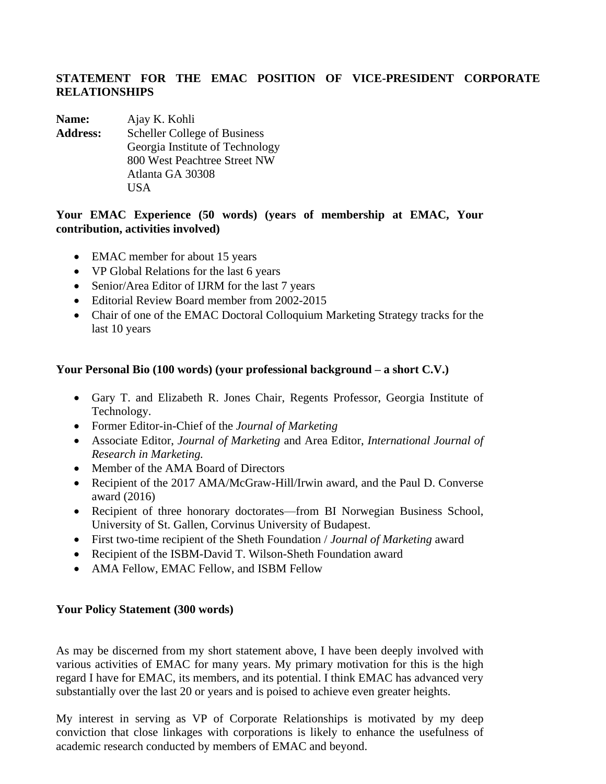## **STATEMENT FOR THE EMAC POSITION OF VICE-PRESIDENT CORPORATE RELATIONSHIPS**

**Name:** Ajay K. Kohli **Address:** Scheller College of Business Georgia Institute of Technology 800 West Peachtree Street NW Atlanta GA 30308 USA

## **Your EMAC Experience (50 words) (years of membership at EMAC, Your contribution, activities involved)**

- EMAC member for about 15 years
- VP Global Relations for the last 6 years
- Senior/Area Editor of IJRM for the last 7 years
- Editorial Review Board member from 2002-2015
- Chair of one of the EMAC Doctoral Colloquium Marketing Strategy tracks for the last 10 years

## **Your Personal Bio (100 words) (your professional background – a short C.V.)**

- Gary T. and Elizabeth R. Jones Chair, Regents Professor, Georgia Institute of Technology.
- Former Editor-in-Chief of the *Journal of Marketing*
- Associate Editor, *Journal of Marketing* and Area Editor, *International Journal of Research in Marketing.*
- Member of the AMA Board of Directors
- Recipient of the 2017 AMA/McGraw-Hill/Irwin award, and the Paul D. Converse award (2016)
- Recipient of three honorary doctorates—from BI Norwegian Business School, University of St. Gallen, Corvinus University of Budapest.
- First two-time recipient of the Sheth Foundation / *Journal of Marketing* award
- Recipient of the ISBM-David T. Wilson-Sheth Foundation award
- AMA Fellow, EMAC Fellow, and ISBM Fellow

## **Your Policy Statement (300 words)**

As may be discerned from my short statement above, I have been deeply involved with various activities of EMAC for many years. My primary motivation for this is the high regard I have for EMAC, its members, and its potential. I think EMAC has advanced very substantially over the last 20 or years and is poised to achieve even greater heights.

My interest in serving as VP of Corporate Relationships is motivated by my deep conviction that close linkages with corporations is likely to enhance the usefulness of academic research conducted by members of EMAC and beyond.